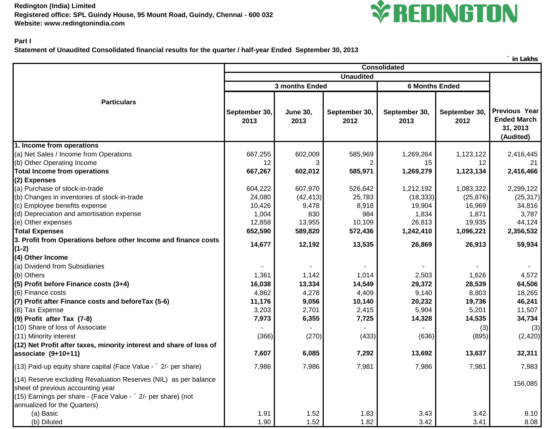**Redington (India) Limited Registered office: SPL Guindy House, 95 Mount Road, Guindy, Chennai - 600 032 Website: www.redingtonindia.com**



## **Part I**

**Statement of Unaudited Consolidated financial results for the quarter / half-year Ended September 30, 2013**

|                                                                                                                                                                                                        |                                         |                         |                       |                       |                       | in Lakhs                                                            |
|--------------------------------------------------------------------------------------------------------------------------------------------------------------------------------------------------------|-----------------------------------------|-------------------------|-----------------------|-----------------------|-----------------------|---------------------------------------------------------------------|
|                                                                                                                                                                                                        | <b>Consolidated</b><br><b>Unaudited</b> |                         |                       |                       |                       |                                                                     |
|                                                                                                                                                                                                        |                                         |                         |                       |                       |                       |                                                                     |
|                                                                                                                                                                                                        |                                         | 3 months Ended          |                       | <b>6 Months Ended</b> |                       |                                                                     |
| <b>Particulars</b>                                                                                                                                                                                     | September 30,<br>2013                   | <b>June 30,</b><br>2013 | September 30,<br>2012 | September 30,<br>2013 | September 30,<br>2012 | <b>Previous Year</b><br><b>Ended March</b><br>31, 2013<br>(Audited) |
| 1. Income from operations                                                                                                                                                                              |                                         |                         |                       |                       |                       |                                                                     |
| (a) Net Sales / Income from Operations                                                                                                                                                                 | 667,255                                 | 602,009                 | 585,969               | 1,269,264             | 1,123,122             | 2,416,445                                                           |
| (b) Other Operating Income                                                                                                                                                                             | 12                                      |                         |                       | 15                    | 12                    |                                                                     |
| <b>Total Income from operations</b>                                                                                                                                                                    | 667,267                                 | 602,012                 | 585,971               | 1,269,279             | 1,123,134             | 2,416,466                                                           |
| (2) Expenses                                                                                                                                                                                           |                                         |                         |                       |                       |                       |                                                                     |
| (a) Purchase of stock-in-trade                                                                                                                                                                         | 604,222                                 | 607,970                 | 526,642               | 1,212,192             | 1,083,322             | 2,299,122                                                           |
| (b) Changes in inventories of stock-in-trade                                                                                                                                                           | 24,080                                  | (42, 413)               | 25,783                | (18, 333)             | (25, 876)             | (25, 317)                                                           |
| (c) Employee benefits expense                                                                                                                                                                          | 10,426                                  | 9,478                   | 8,918                 | 19,904                | 16,969                | 34,816                                                              |
| (d) Depreciation and amortisation expense                                                                                                                                                              | 1,004                                   | 830                     | 984                   | 1,834                 | 1,871                 | 3,787                                                               |
| (e) Other expenses                                                                                                                                                                                     | 12,858                                  | 13,955                  | 10,109                | 26,813                | 19,935                | 44,124                                                              |
| <b>Total Expenses</b>                                                                                                                                                                                  | 652,590                                 | 589,820                 | 572,436               | 1,242,410             | 1,096,221             | 2,356,532                                                           |
| 3. Profit from Operations before other Income and finance costs                                                                                                                                        | 14,677                                  | 12,192                  | 13,535                | 26,869                | 26,913                | 59,934                                                              |
| $(1-2)$                                                                                                                                                                                                |                                         |                         |                       |                       |                       |                                                                     |
| (4) Other Income                                                                                                                                                                                       |                                         |                         |                       |                       |                       |                                                                     |
| (a) Dividend from Subsidiaries                                                                                                                                                                         |                                         |                         |                       |                       |                       |                                                                     |
| (b) Others                                                                                                                                                                                             | 1,361                                   | 1,142                   | 1,014                 | 2,503                 | 1,626                 | 4,572                                                               |
| (5) Profit before Finance costs (3+4)                                                                                                                                                                  | 16,038                                  | 13,334                  | 14,549                | 29,372                | 28,539                | 64,506                                                              |
| (6) Finance costs                                                                                                                                                                                      | 4,862                                   | 4,278                   | 4,409                 | 9,140                 | 8,803                 | 18,265                                                              |
| (7) Profit after Finance costs and before Tax (5-6)                                                                                                                                                    | 11,176                                  | 9,056                   | 10,140                | 20,232                | 19,736                | 46,241                                                              |
| (8) Tax Expense                                                                                                                                                                                        | 3,203                                   | 2,701                   | 2,415                 | 5,904                 | 5,201                 | 11,507                                                              |
| (9) Profit after Tax (7-8)                                                                                                                                                                             | 7,973                                   | 6,355                   | 7,725                 | 14,328                | 14,535                | 34,734                                                              |
| (10) Share of loss of Associate                                                                                                                                                                        |                                         |                         |                       |                       | (3)                   | (3)                                                                 |
| (11) Minority interest                                                                                                                                                                                 | (366)                                   | (270)                   | (433)                 | (636)                 | (895)                 | (2, 420)                                                            |
| (12) Net Profit after taxes, minority interest and share of loss of                                                                                                                                    |                                         |                         |                       |                       |                       |                                                                     |
| associate (9+10+11)                                                                                                                                                                                    | 7,607                                   | 6,085                   | 7,292                 | 13,692                | 13,637                | 32,311                                                              |
| (13) Paid-up equity share capital (Face Value - ` 2/- per share)                                                                                                                                       | 7,986                                   | 7,986                   | 7,981                 | 7,986                 | 7,981                 | 7,983                                                               |
| (14) Reserve excluding Revaluation Reserves (NIL) as per balance<br>sheet of previous accounting year<br>(15) Earnings per share - (Face Value - ` 2/- per share) (not<br>annualized for the Quarters) |                                         |                         |                       |                       |                       | 156,085                                                             |
| (a) Basic                                                                                                                                                                                              | 1.91                                    | 1.52                    | 1.83                  | 3.43                  | 3.42                  | 8.10                                                                |
| (b) Diluted                                                                                                                                                                                            | 1.90                                    | 1.52                    | 1.82                  | 3.42                  | 3.41                  | 8.08                                                                |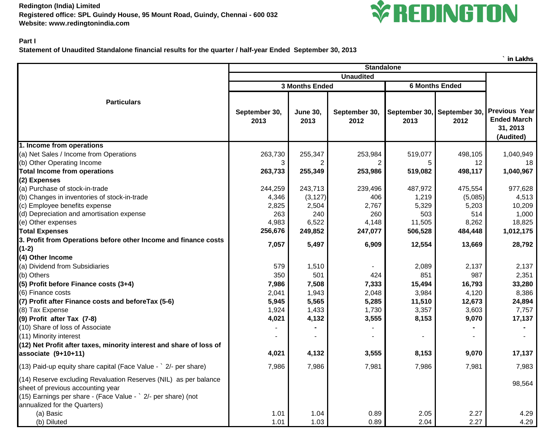**Redington (India) Limited Registered office: SPL Guindy House, 95 Mount Road, Guindy, Chennai - 600 032 Website: www.redingtonindia.com**



## **Part I**

**Statement of Unaudited Standalone financial results for the quarter / half-year Ended September 30, 2013**

|                                                                                                                                                                                                        |                                         |                         |                       |         |                                     | ` in Lakhs                                                          |  |
|--------------------------------------------------------------------------------------------------------------------------------------------------------------------------------------------------------|-----------------------------------------|-------------------------|-----------------------|---------|-------------------------------------|---------------------------------------------------------------------|--|
|                                                                                                                                                                                                        | <b>Standalone</b>                       |                         |                       |         |                                     |                                                                     |  |
|                                                                                                                                                                                                        | <b>Unaudited</b>                        |                         |                       |         |                                     |                                                                     |  |
|                                                                                                                                                                                                        | <b>6 Months Ended</b><br>3 Months Ended |                         |                       |         |                                     |                                                                     |  |
| <b>Particulars</b>                                                                                                                                                                                     | September 30,<br>2013                   | <b>June 30,</b><br>2013 | September 30,<br>2012 | 2013    | September 30, September 30,<br>2012 | <b>Previous Year</b><br><b>Ended March</b><br>31, 2013<br>(Audited) |  |
| 1. Income from operations                                                                                                                                                                              |                                         |                         |                       |         |                                     |                                                                     |  |
| (a) Net Sales / Income from Operations                                                                                                                                                                 | 263,730                                 | 255,347                 | 253,984               | 519,077 | 498,105                             | 1,040,949                                                           |  |
| (b) Other Operating Income                                                                                                                                                                             | 3                                       |                         |                       |         | 12                                  | 18                                                                  |  |
| <b>Total Income from operations</b>                                                                                                                                                                    | 263,733                                 | 255,349                 | 253,986               | 519,082 | 498,117                             | 1,040,967                                                           |  |
| (2) Expenses                                                                                                                                                                                           |                                         |                         |                       |         |                                     |                                                                     |  |
| (a) Purchase of stock-in-trade                                                                                                                                                                         | 244,259                                 | 243,713                 | 239,496               | 487,972 | 475,554                             | 977,628                                                             |  |
| (b) Changes in inventories of stock-in-trade                                                                                                                                                           | 4,346                                   | (3, 127)                | 406                   | 1,219   | (5,085)                             | 4,513                                                               |  |
| (c) Employee benefits expense                                                                                                                                                                          | 2,825                                   | 2,504                   | 2,767                 | 5,329   | 5,203                               | 10,209                                                              |  |
| (d) Depreciation and amortisation expense                                                                                                                                                              | 263                                     | 240                     | 260                   | 503     | 514                                 | 1,000                                                               |  |
| (e) Other expenses                                                                                                                                                                                     | 4,983                                   | 6,522                   | 4,148                 | 11,505  | 8,262                               | 18,825                                                              |  |
| <b>Total Expenses</b>                                                                                                                                                                                  | 256,676                                 | 249,852                 | 247,077               | 506,528 | 484,448                             | 1,012,175                                                           |  |
| 3. Profit from Operations before other Income and finance costs                                                                                                                                        | 7,057                                   | 5,497                   | 6,909                 | 12,554  | 13,669                              | 28,792                                                              |  |
| $(1-2)$                                                                                                                                                                                                |                                         |                         |                       |         |                                     |                                                                     |  |
| (4) Other Income                                                                                                                                                                                       |                                         |                         |                       |         |                                     |                                                                     |  |
| (a) Dividend from Subsidiaries                                                                                                                                                                         | 579                                     | 1,510                   |                       | 2,089   | 2,137                               | 2,137                                                               |  |
| (b) Others                                                                                                                                                                                             | 350                                     | 501                     | 424                   | 851     | 987                                 | 2,351                                                               |  |
| (5) Profit before Finance costs (3+4)                                                                                                                                                                  | 7,986                                   | 7,508                   | 7,333                 | 15,494  | 16,793                              | 33,280                                                              |  |
| (6) Finance costs                                                                                                                                                                                      | 2,041                                   | 1,943                   | 2,048                 | 3,984   | 4,120                               | 8,386                                                               |  |
| (7) Profit after Finance costs and before Tax (5-6)                                                                                                                                                    | 5,945                                   | 5,565                   | 5,285                 | 11,510  | 12,673                              | 24,894                                                              |  |
| (8) Tax Expense                                                                                                                                                                                        | 1,924                                   | 1,433                   | 1,730                 | 3,357   | 3,603                               | 7,757                                                               |  |
| (9) Profit after Tax (7-8)                                                                                                                                                                             | 4,021                                   | 4,132                   | 3,555                 | 8,153   | 9,070                               | 17,137                                                              |  |
| (10) Share of loss of Associate                                                                                                                                                                        |                                         |                         |                       |         |                                     |                                                                     |  |
| (11) Minority interest                                                                                                                                                                                 |                                         |                         |                       |         |                                     |                                                                     |  |
| (12) Net Profit after taxes, minority interest and share of loss of                                                                                                                                    |                                         |                         |                       |         |                                     |                                                                     |  |
| associate (9+10+11)                                                                                                                                                                                    | 4,021                                   | 4,132                   | 3,555                 | 8,153   | 9,070                               | 17,137                                                              |  |
| (13) Paid-up equity share capital (Face Value - ` 2/- per share)                                                                                                                                       | 7,986                                   | 7,986                   | 7,981                 | 7,986   | 7,981                               | 7,983                                                               |  |
| (14) Reserve excluding Revaluation Reserves (NIL) as per balance<br>sheet of previous accounting year<br>(15) Earnings per share - (Face Value - ` 2/- per share) (not<br>annualized for the Quarters) |                                         |                         |                       |         |                                     | 98,564                                                              |  |
| (a) Basic                                                                                                                                                                                              | 1.01                                    | 1.04                    | 0.89                  | 2.05    | 2.27                                | 4.29                                                                |  |
| (b) Diluted                                                                                                                                                                                            | 1.01                                    | 1.03                    | 0.89                  | 2.04    | 2.27                                | 4.29                                                                |  |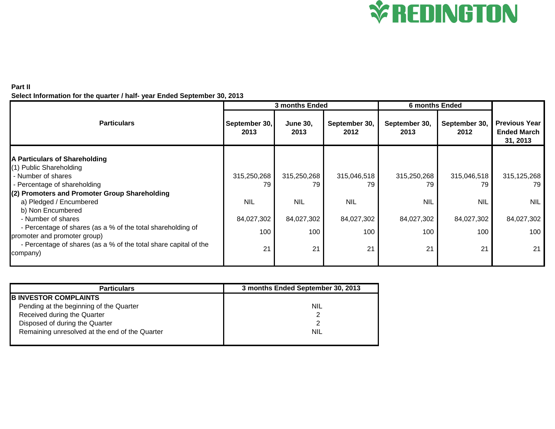

## **Part II Select Information for the quarter / half- year Ended September 30, 2013**

|                                                                                                  | 3 months Ended        |                         |                       | <b>6 months Ended</b> |                       |                                                        |  |
|--------------------------------------------------------------------------------------------------|-----------------------|-------------------------|-----------------------|-----------------------|-----------------------|--------------------------------------------------------|--|
| <b>Particulars</b>                                                                               | September 30,<br>2013 | <b>June 30,</b><br>2013 | September 30,<br>2012 | September 30,<br>2013 | September 30,<br>2012 | <b>Previous Year</b><br><b>Ended March</b><br>31, 2013 |  |
| A Particulars of Shareholding                                                                    |                       |                         |                       |                       |                       |                                                        |  |
| (1) Public Shareholding                                                                          |                       |                         |                       |                       |                       |                                                        |  |
| - Number of shares                                                                               | 315,250,268           | 315,250,268             | 315,046,518           | 315,250,268           | 315,046,518           | 315,125,268                                            |  |
| - Percentage of shareholding                                                                     | 79                    | 79                      | 79                    | 79                    | 79                    | 79                                                     |  |
| (2) Promoters and Promoter Group Shareholding                                                    |                       |                         |                       |                       |                       |                                                        |  |
| a) Pledged / Encumbered                                                                          | <b>NIL</b>            | <b>NIL</b>              | <b>NIL</b>            | <b>NIL</b>            | <b>NIL</b>            | <b>NIL</b>                                             |  |
| b) Non Encumbered                                                                                |                       |                         |                       |                       |                       |                                                        |  |
| - Number of shares                                                                               | 84,027,302            | 84,027,302              | 84,027,302            | 84,027,302            | 84,027,302            | 84,027,302                                             |  |
| - Percentage of shares (as a % of the total shareholding of                                      | 100                   | 100                     | 100                   | 100                   | 100                   | 100                                                    |  |
| promoter and promoter group)<br>- Percentage of shares (as a % of the total share capital of the |                       |                         |                       |                       |                       |                                                        |  |
| company)                                                                                         | 21                    | 21                      | 21                    | 21                    | 21                    | 21                                                     |  |
|                                                                                                  |                       |                         |                       |                       |                       |                                                        |  |

| <b>Particulars</b>                             | 3 months Ended September 30, 2013 |
|------------------------------------------------|-----------------------------------|
| <b>IB INVESTOR COMPLAINTS</b>                  |                                   |
| Pending at the beginning of the Quarter        | NIL                               |
| Received during the Quarter                    |                                   |
| Disposed of during the Quarter                 |                                   |
| Remaining unresolved at the end of the Quarter | NIL                               |
|                                                |                                   |